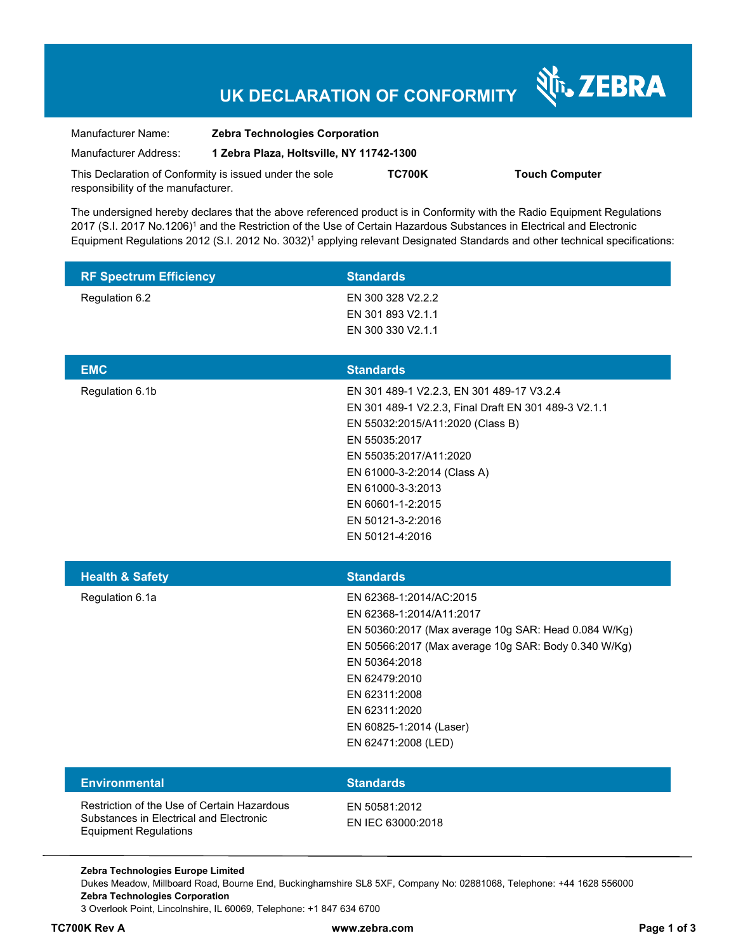# **UK DECLARATION OF CONFORMITY**

Nr. ZEBRA

| Manufacturer Name:                                      | <b>Zebra Technologies Corporation</b>    |               |                       |
|---------------------------------------------------------|------------------------------------------|---------------|-----------------------|
| Manufacturer Address:                                   | 1 Zebra Plaza, Holtsville, NY 11742-1300 |               |                       |
| This Declaration of Conformity is issued under the sole |                                          | <b>TC700K</b> | <b>Touch Computer</b> |
| responsibility of the manufacturer.                     |                                          |               |                       |

The undersigned hereby declares that the above referenced product is in Conformity with the Radio Equipment Regulations 2017 (S.I. 2017 No.1206)<sup>1</sup> and the Restriction of the Use of Certain Hazardous Substances in Electrical and Electronic Equipment Regulations 2012 (S.I. 2012 No. 3032)<sup>1</sup> applying relevant Designated Standards and other technical specifications:

| <b>RF Spectrum Efficiency</b> | <b>Standards</b>                                                                                                                                                                                                                                                                                  |
|-------------------------------|---------------------------------------------------------------------------------------------------------------------------------------------------------------------------------------------------------------------------------------------------------------------------------------------------|
| Regulation 6.2                | EN 300 328 V2.2.2<br>EN 301 893 V2.1.1<br>EN 300 330 V2.1.1                                                                                                                                                                                                                                       |
| <b>EMC</b>                    | <b>Standards</b>                                                                                                                                                                                                                                                                                  |
| Regulation 6.1b               | EN 301 489-1 V2.2.3, EN 301 489-17 V3.2.4<br>EN 301 489-1 V2.2.3, Final Draft EN 301 489-3 V2.1.1<br>EN 55032:2015/A11:2020 (Class B)<br>EN 55035:2017<br>EN 55035:2017/A11:2020<br>EN 61000-3-2:2014 (Class A)<br>EN 61000-3-3:2013<br>EN 60601-1-2:2015<br>EN 50121-3-2:2016<br>EN 50121-4:2016 |
|                               |                                                                                                                                                                                                                                                                                                   |
| <b>Health &amp; Safety</b>    | <b>Standards</b>                                                                                                                                                                                                                                                                                  |
| Regulation 6.1a               | EN 62368-1:2014/AC:2015<br>EN 62368-1:2014/A11:2017<br>EN 50360:2017 (Max average 10g SAR: Head 0.084 W/Kg)<br>EN 50566:2017 (Max average 10g SAR: Body 0.340 W/Kg)<br>EN 50364:2018<br>EN 62479:2010<br>EN 62311:2008<br>EN 62311:2020<br>EN 60825-1:2014 (Laser)<br>EN 62471:2008 (LED)         |
| <b>Environmental</b>          | <b>Standards</b>                                                                                                                                                                                                                                                                                  |

**Zebra Technologies Europe Limited**  Dukes Meadow, Millboard Road, Bourne End, Buckinghamshire SL8 5XF, Company No: 02881068, Telephone: +44 1628 556000 **Zebra Technologies Corporation**  3 Overlook Point, Lincolnshire, IL 60069, Telephone: +1 847 634 6700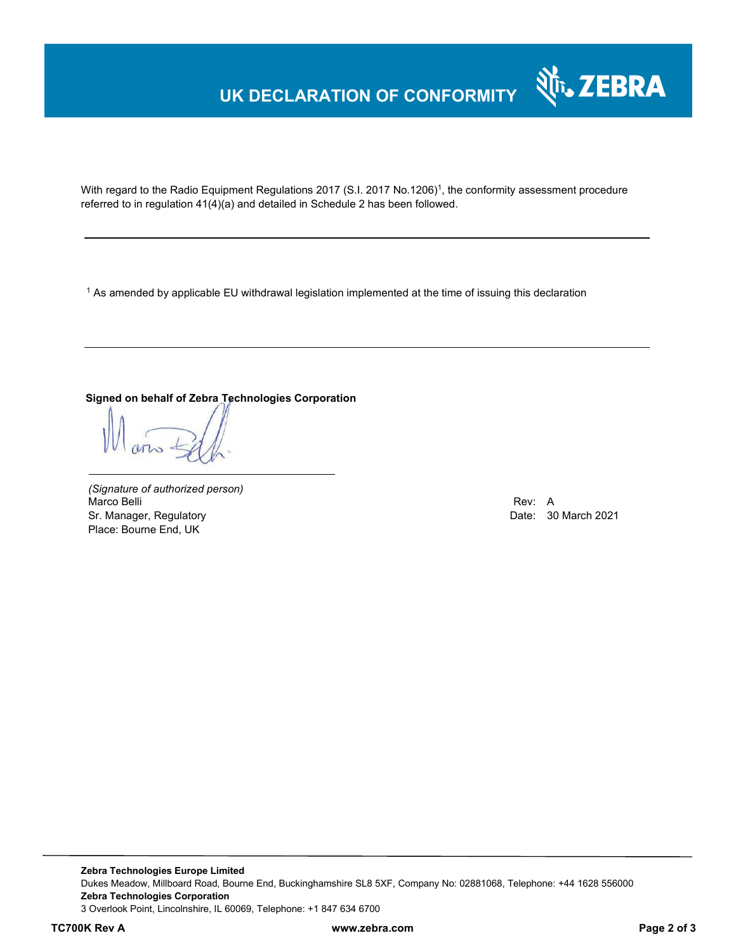## **UK DECLARATION OF CONFORMITY**



With regard to the Radio Equipment Regulations 2017 (S.I. 2017 No.1206)<sup>1</sup>, the conformity assessment procedure referred to in regulation 41(4)(a) and detailed in Schedule 2 has been followed.

 $^{\rm 1}$  As amended by applicable EU withdrawal legislation implemented at the time of issuing this declaration

### **Signed on behalf of Zebra Technologies Corporation**

*(Signature of authorized person)* Marco Belli Rev: A Annual Rev: A Annual Rev: A Annual Rev: A Annual Rev: A Annual Rev: A Annual Rev: A Annual Rev Sr. Manager, Regulatory **Date: 30 March 2021** Place: Bourne End, UK

**Zebra Technologies Europe Limited**  Dukes Meadow, Millboard Road, Bourne End, Buckinghamshire SL8 5XF, Company No: 02881068, Telephone: +44 1628 556000 **Zebra Technologies Corporation**  3 Overlook Point, Lincolnshire, IL 60069, Telephone: +1 847 634 6700